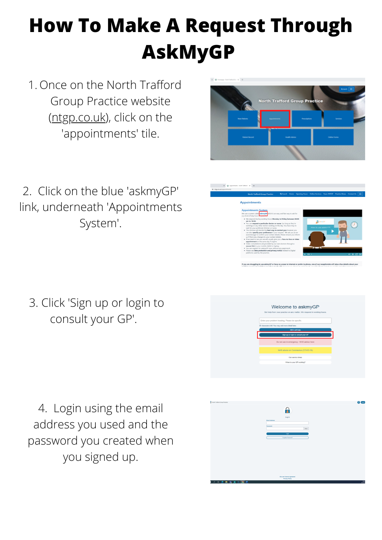## **How To Make A Request Through AskMyGP**

1. Once on the North Trafford Group Practice website [\(ntgp.co.uk\)](http://ntgp.co.uk/), click on the 'appointments' tile.

2. Click on the blue 'askmyGP' link, underneath 'Appointments System'.





If you are struggling to use askmyGP or have no access to internet or prefer to phone, one of our receptionists will take a few details about you

3. Click 'Sign up or login to consult your GP'.

4. Login using the email address you used and the password you created when you signed up.

## Welcome to askmyGP Set help from your practice on any matter. We respond in work nter your problem heading. Please be specifi cters left. You may add more detail late Do not use in emergency - NHS advice her Our service times When is your GP working?

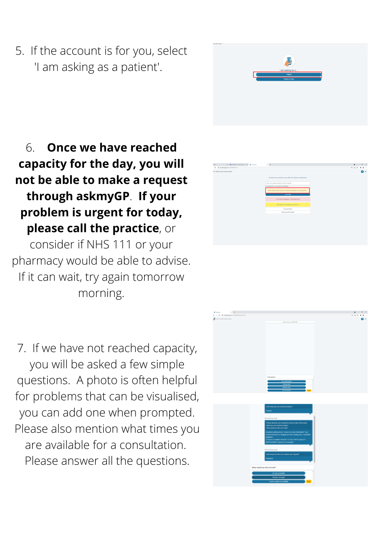6. **Once we have reached capacity for the day, you will not be able to make a request through askmyGP**. **If your problem is urgent for today, please call the practice**, or consider if NHS 111 or your pharmacy would be able to advise. If it can wait, try again tomorrow





## morning.

## 5. If the account is for you, select 'I am asking as a patient'.

7. If we have not reached capacity, you will be asked a few simple questions. A photo is often helpful for problems that can be visualised, you can add one when prompted. Please also mention what times you are available for a consultation. Please answer all the questions.